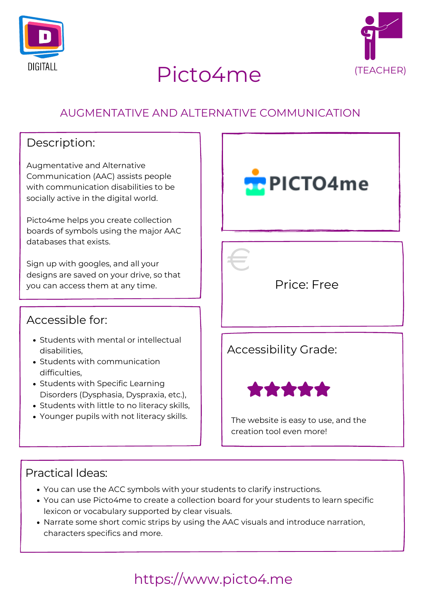



# Picto4me (TEACHER)

## https://www.picto4.me

## Practical Ideas:

Accessible for:

## Price: Free

## AUGMENTATIVE AND ALTERNATIVE COMMUNICATION

## Description:

Augmentative and Alternative Communication (AAC) assists people with communication disabilities to be socially active in the digital world.

Picto4me helps you create collection boards of symbols using the major AAC databases that exists.

Sign up with googles, and all your designs are saved on your drive, so that you can access them at any time.





- Students with mental or intellectual disabilities,
- Students with communication difficulties,
- Students with Specific Learning Disorders (Dysphasia, Dyspraxia, etc.),
- Students with little to no literacy skills,
- Younger pupils with not literacy skills.

## Accessibility Grade:



The website is easy to use, and the creation tool even more!

- You can use the ACC symbols with your students to clarify instructions.
- You can use Picto4me to create a collection board for your students to learn specific lexicon or vocabulary supported by clear visuals.
- Narrate some short comic strips by using the AAC visuals and introduce narration, characters specifics and more.